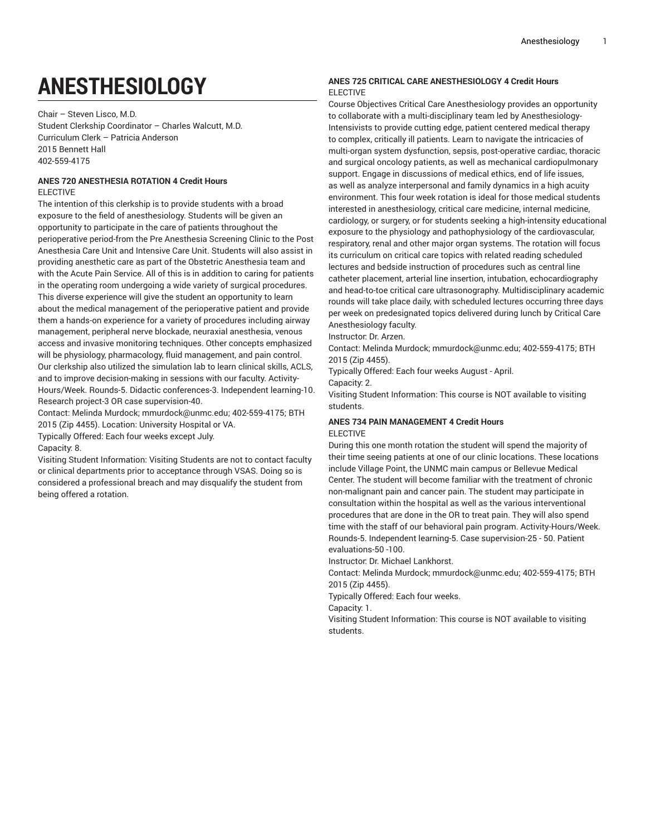# **ANESTHESIOLOGY**

Chair – Steven Lisco, M.D. Student Clerkship Coordinator – Charles Walcutt, M.D. Curriculum Clerk – Patricia Anderson 2015 Bennett Hall 402-559-4175

## **ANES 720 ANESTHESIA ROTATION 4 Credit Hours** ELECTIVE

The intention of this clerkship is to provide students with a broad exposure to the field of anesthesiology. Students will be given an opportunity to participate in the care of patients throughout the perioperative period-from the Pre Anesthesia Screening Clinic to the Post Anesthesia Care Unit and Intensive Care Unit. Students will also assist in providing anesthetic care as part of the Obstetric Anesthesia team and with the Acute Pain Service. All of this is in addition to caring for patients in the operating room undergoing a wide variety of surgical procedures. This diverse experience will give the student an opportunity to learn about the medical management of the perioperative patient and provide them a hands-on experience for a variety of procedures including airway management, peripheral nerve blockade, neuraxial anesthesia, venous access and invasive monitoring techniques. Other concepts emphasized will be physiology, pharmacology, fluid management, and pain control. Our clerkship also utilized the simulation lab to learn clinical skills, ACLS, and to improve decision-making in sessions with our faculty. Activity-Hours/Week. Rounds-5. Didactic conferences-3. Independent learning-10. Research project-3 OR case supervision-40.

Contact: Melinda Murdock; mmurdock@unmc.edu; 402-559-4175; BTH 2015 (Zip 4455). Location: University Hospital or VA.

Typically Offered: Each four weeks except July. Capacity: 8.

Visiting Student Information: Visiting Students are not to contact faculty or clinical departments prior to acceptance through VSAS. Doing so is considered a professional breach and may disqualify the student from being offered a rotation.

## **ANES 725 CRITICAL CARE ANESTHESIOLOGY 4 Credit Hours** ELECTIVE

Course Objectives Critical Care Anesthesiology provides an opportunity to collaborate with a multi-disciplinary team led by Anesthesiology-Intensivists to provide cutting edge, patient centered medical therapy to complex, critically ill patients. Learn to navigate the intricacies of multi-organ system dysfunction, sepsis, post-operative cardiac, thoracic and surgical oncology patients, as well as mechanical cardiopulmonary support. Engage in discussions of medical ethics, end of life issues, as well as analyze interpersonal and family dynamics in a high acuity environment. This four week rotation is ideal for those medical students interested in anesthesiology, critical care medicine, internal medicine, cardiology, or surgery, or for students seeking a high-intensity educational exposure to the physiology and pathophysiology of the cardiovascular, respiratory, renal and other major organ systems. The rotation will focus its curriculum on critical care topics with related reading scheduled lectures and bedside instruction of procedures such as central line catheter placement, arterial line insertion, intubation, echocardiography and head-to-toe critical care ultrasonography. Multidisciplinary academic rounds will take place daily, with scheduled lectures occurring three days per week on predesignated topics delivered during lunch by Critical Care Anesthesiology faculty.

Instructor: Dr. Arzen.

Contact: Melinda Murdock; mmurdock@unmc.edu; 402-559-4175; BTH 2015 (Zip 4455).

Typically Offered: Each four weeks August - April.

Capacity: 2.

Visiting Student Information: This course is NOT available to visiting students.

## **ANES 734 PAIN MANAGEMENT 4 Credit Hours** ELECTIVE

During this one month rotation the student will spend the majority of their time seeing patients at one of our clinic locations. These locations include Village Point, the UNMC main campus or Bellevue Medical Center. The student will become familiar with the treatment of chronic non-malignant pain and cancer pain. The student may participate in consultation within the hospital as well as the various interventional procedures that are done in the OR to treat pain. They will also spend time with the staff of our behavioral pain program. Activity-Hours/Week. Rounds-5. Independent learning-5. Case supervision-25 - 50. Patient evaluations-50 -100.

Instructor: Dr. Michael Lankhorst.

Contact: Melinda Murdock; mmurdock@unmc.edu; 402-559-4175; BTH 2015 (Zip 4455).

Typically Offered: Each four weeks.

Capacity: 1.

Visiting Student Information: This course is NOT available to visiting students.